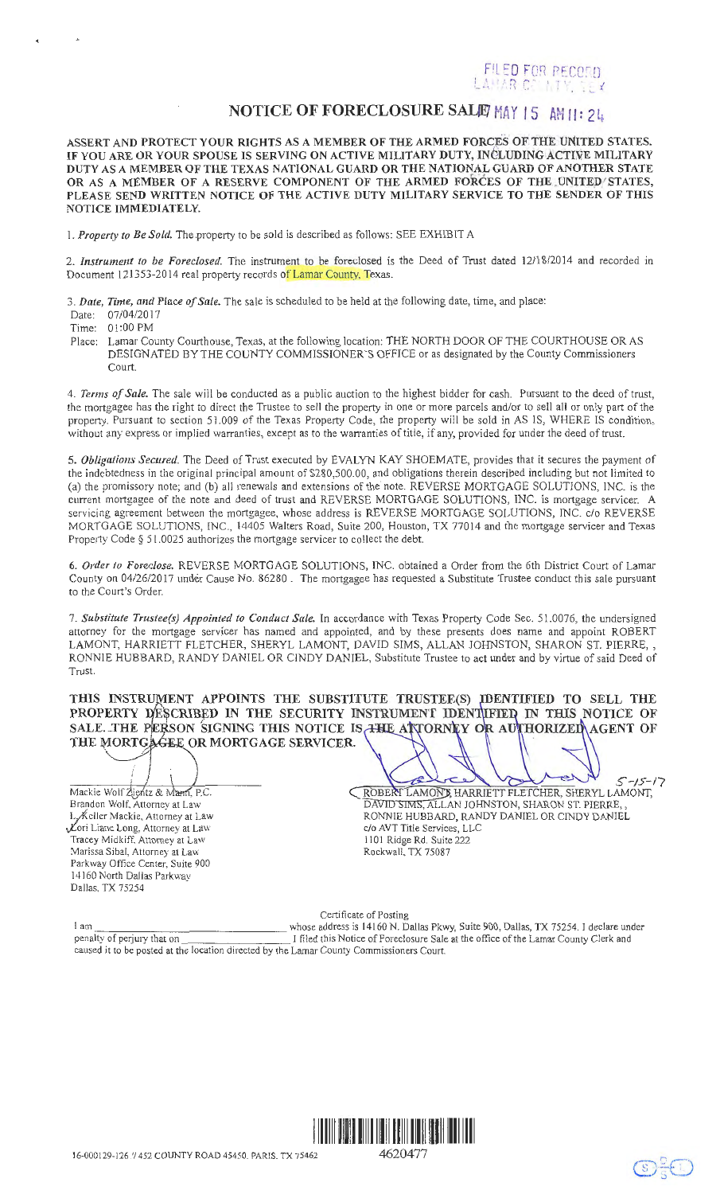## FILED FOR RECORD<br>LAHAR CO: NTY, TEX

## **NOTICE OF FORECLOSURE SALIE MAY 15 AM 11: 24.**

ASSERT AND PROTECT YOUR RIGHTS AS A MEMBER OF THE ARMED FORCES OF THE UNITED STATES. IF YOU ARE OR YOUR SPOUSE IS SERVING ON ACTIVE MILITARY DUTY, INCLUDING ACTIVE MILITARY DUTY AS A MEMBER OF THE TEXAS NATIONAL GUARD OR THE NATIONAL GUARD OF ANOTHER STATE OR AS A MEMBER OF A RESERVE COMPONENT OF THE ARMED FORCES OF THE CNITED STATES, PLEASE SEND WRITTEN NOTICE OF THE ACTIVE DUTY MILITARY SERVICE TO THE SENDER OF THIS NOTICE IMMEDIATELY.

I. *Property to Be Sold.* The property to be sold is described as follows: SEE EXHIBIT A

2. *Instrument to be Foreclosed.* The instrument to be foreclosed is the Deed of Trust dated 1211 8/2014 and recorded in Document 121353-2014 real property records of Lamar County, Texas.

3. *Date, Time, and Place of Sale.* The sale is scheduled to be held at the following date, time, and place:

Date: 07/04/2017

Time: 01 :00 PM

..

Place: Lamar County Courthouse, Texas, at the following location: THE NORTH DOOR OF THE COURTHOUSE OR AS DESIGNATED BY THE COUNTY COMMISSIONER'S OFFICE or as designated by the County Commissioners Court.

4. *Terms of Sale.* The sale will be conducted as a public auction to the highest bidder for cash. Pursuant to the deed of trust, the mortgagee has the right to direct the Trustee to sell the property in one or more parcels and/or to sell all or only part of the property. Pursuant to section 51.009 of the Texas Property Code, the property will be sold in AS IS, WHERE IS condition, without any express or implied warranties, except as to the warranties of title, if any, provided for under the deed of trust.

5. *Obligations Secured.* The Deed of Trust executed by EVALYN KAY SHOEMATE, provides that it secures the payment of the indebtedness in the original principal amount of \$280,500.00, and obligations therein described including but not limited to (a) the promissory note; and (b) all renewals and extensions of the note. REVERSE MORTGAGE SOLUTIONS, INC. is the current mortgagee of the note and deed of trust and REVERSE MORTGAGE SOLUTIONS, INC. is mortgage servicer. A servicing agreement between the mortgagee, whose address is REVERSE MORTGAGE SOLUTIONS, INC. c/o REVERSE MORTGAGE SOLUTIONS, INC., 14405 Walters Road, Suite 200, Houston, TX 77014 and the mortgage servicer and Texas Property Code § 5 1.0025 authorizes the mortgage servicer to collect the debt.

6. *Order to Foreclose.* REVERSE MORTGAGE SOLUTIONS, INC. obtained a Order from the 6th District Court of Lamar County on 0412612017 under Cause No. 86280 . The mortgagee has requested a Substitute Trustee conduct this sale pursuant to the Court's Order.

7. *Substitute Trustee(s) Appointed to Conduct Sale.* In accordance with Texas Property Code Sec. 51.0076, the undersigned attorney for the mortgage servicer has named and appointed, and by these presents does name and appoint ROBERT LAMONT, HARRIETT FLETCHER, SHERYL LAMONT, DAVID SIMS, ALLAN JOHNSTON, SHARON ST. PIERRE,, RONNIE HUBBARD, RANDY DANIEL OR CINDY DANIEL, Substitute Trustee to act under and by virtue of said Deed of Trust.

THE MORTGAGEE OR MORTGAGE SERVICER. THIS INSTRUMENT APPOINTS THE SUBSTITUTE TRUSTEE(S) IDENTIFIED TO SELL THE PROPERTY DESCRIBED IN THE SECURITY INSTRUMENT IDENTUFIED IN THIS NOTICE OF SALE. THE PERSON SIGNING THIS NOTICE IS THE ALTORNEY OR AUTHORIZED AGENT OF

 $\bigcup_{S-15-17}$  about balled s-15-17 Mackie Wolf Zientz & Mann, P.C. Brandon Wolf. Attornev at Law L, Keller Mackie, Attorney at Law Cori Liane Long, Attorney at Law Tracey Midkiff Attorney at Law '.Vlarissa Sibal, Attorney at Law Parkway Office Center, Suite 900 14160 North Dallas Parkway Dallas, TX 75254

. .

|  |                                                  | $\mathcal{L}$ $\mathcal{L}$ $\mathcal{L}$ $\mathcal{L}$ |
|--|--------------------------------------------------|---------------------------------------------------------|
|  | ROBERT LAMONT, HARRIETT FLETCHER, SHERYL LAMONT. |                                                         |
|  | DAVID SIMS, ALLAN JOHNSTON, SHARON ST. PIERRE,,  |                                                         |
|  | RONNIE HUBBARD, RANDY DANIEL OR CINDY DANIEL     |                                                         |
|  | c/o AVT Title Services, LLC                      |                                                         |
|  | 1101 Ridge Rd. Suite 222                         |                                                         |
|  | Rockwall, TX 75087                               |                                                         |

 $\bigcirc$ 

Certificate of Posting 1 am. whose address is 14160 N. Dallas Pkwy, Suite 900, Dallas, TX 75254. I declare under penalty of perjury that on International Country Clerk and I filed this Notice of Foreclosure Sale at the office of the Lamar County Clerk and caused it to be posted at the location directed by the Lamar County Commissioners Court.